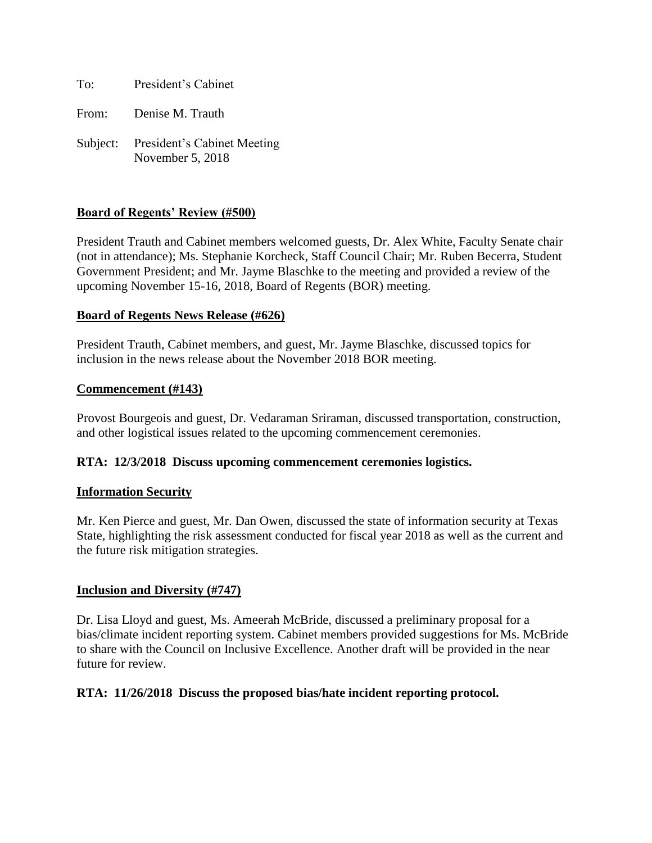To: President's Cabinet

From: Denise M. Trauth

Subject: President's Cabinet Meeting November 5, 2018

### **Board of Regents' Review (#500)**

President Trauth and Cabinet members welcomed guests, Dr. Alex White, Faculty Senate chair (not in attendance); Ms. Stephanie Korcheck, Staff Council Chair; Mr. Ruben Becerra, Student Government President; and Mr. Jayme Blaschke to the meeting and provided a review of the upcoming November 15-16, 2018, Board of Regents (BOR) meeting.

### **Board of Regents News Release (#626)**

President Trauth, Cabinet members, and guest, Mr. Jayme Blaschke, discussed topics for inclusion in the news release about the November 2018 BOR meeting.

### **Commencement (#143)**

Provost Bourgeois and guest, Dr. Vedaraman Sriraman, discussed transportation, construction, and other logistical issues related to the upcoming commencement ceremonies.

### **RTA: 12/3/2018 Discuss upcoming commencement ceremonies logistics.**

### **Information Security**

Mr. Ken Pierce and guest, Mr. Dan Owen, discussed the state of information security at Texas State, highlighting the risk assessment conducted for fiscal year 2018 as well as the current and the future risk mitigation strategies.

### **Inclusion and Diversity (#747)**

Dr. Lisa Lloyd and guest, Ms. Ameerah McBride, discussed a preliminary proposal for a bias/climate incident reporting system. Cabinet members provided suggestions for Ms. McBride to share with the Council on Inclusive Excellence. Another draft will be provided in the near future for review.

### **RTA: 11/26/2018 Discuss the proposed bias/hate incident reporting protocol.**